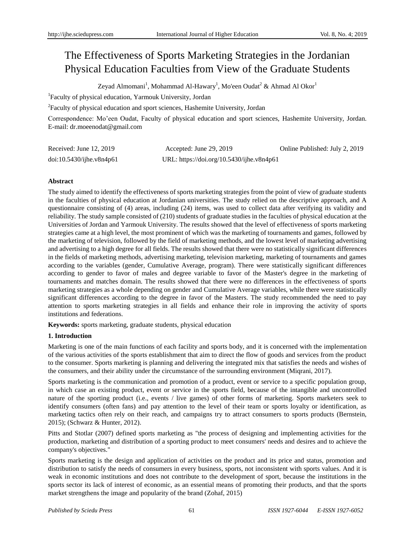# The Effectiveness of Sports Marketing Strategies in the Jordanian Physical Education Faculties from View of the Graduate Students

Zeyad Almomani<sup>1</sup>, Mohammad Al-Hawary<sup>1</sup>, Mo'een Oudat<sup>2</sup> & Ahmad Al Okor<sup>1</sup>

1 Faculty of physical education, Yarmouk University, Jordan

<sup>2</sup> Faculty of physical education and sport sciences, Hashemite University, Jordan

Correspondence: Mo'een Oudat, Faculty of physical education and sport sciences, Hashemite University, Jordan. E-mail: dr.moeenodat@gmail.com

| Received: June 12, 2019  | Accepted: June 29, 2019                   | Online Published: July 2, 2019 |
|--------------------------|-------------------------------------------|--------------------------------|
| doi:10.5430/ijhe.v8n4p61 | URL: https://doi.org/10.5430/ijhe.v8n4p61 |                                |

# **Abstract**

The study aimed to identify the effectiveness of sports marketing strategies from the point of view of graduate students in the faculties of physical education at Jordanian universities. The study relied on the descriptive approach, and A questionnaire consisting of (4) areas, including (24) items, was used to collect data after verifying its validity and reliability. The study sample consisted of (210) students of graduate studies in the faculties of physical education at the Universities of Jordan and Yarmouk University. The results showed that the level of effectiveness of sports marketing strategies came at a high level, the most prominent of which was the marketing of tournaments and games, followed by the marketing of television, followed by the field of marketing methods, and the lowest level of marketing advertising and advertising to a high degree for all fields. The results showed that there were no statistically significant differences in the fields of marketing methods, advertising marketing, television marketing, marketing of tournaments and games according to the variables (gender, Cumulative Average, program). There were statistically significant differences according to gender to favor of males and degree variable to favor of the Master's degree in the marketing of tournaments and matches domain. The results showed that there were no differences in the effectiveness of sports marketing strategies as a whole depending on gender and Cumulative Average variables, while there were statistically significant differences according to the degree in favor of the Masters. The study recommended the need to pay attention to sports marketing strategies in all fields and enhance their role in improving the activity of sports institutions and federations.

**Keywords:** sports marketing, graduate students, physical education

# **1. Introduction**

Marketing is one of the main functions of each facility and sports body, and it is concerned with the implementation of the various activities of the sports establishment that aim to direct the flow of goods and services from the product to the consumer. Sports marketing is planning and delivering the integrated mix that satisfies the needs and wishes of the consumers, and their ability under the circumstance of the surrounding environment (Miqrani, 2017).

Sports marketing is the communication and promotion of a product, event or service to a specific population group, in which case an existing product, event or service in the sports field, because of the intangible and uncontrolled nature of the sporting product (i.e., events / live games) of other forms of marketing. Sports marketers seek to identify consumers (often fans) and pay attention to the level of their team or sports loyalty or identification, as marketing tactics often rely on their reach, and campaigns try to attract consumers to sports products (Bernstein, 2015); (Schwarz & Hunter, 2012).

Pitts and Stotlar (2007) defined sports marketing as "the process of designing and implementing activities for the production, marketing and distribution of a sporting product to meet consumers' needs and desires and to achieve the company's objectives."

Sports marketing is the design and application of activities on the product and its price and status, promotion and distribution to satisfy the needs of consumers in every business, sports, not inconsistent with sports values. And it is weak in economic institutions and does not contribute to the development of sport, because the institutions in the sports sector its lack of interest of economic, as an essential means of promoting their products, and that the sports market strengthens the image and popularity of the brand (Zohaf, 2015)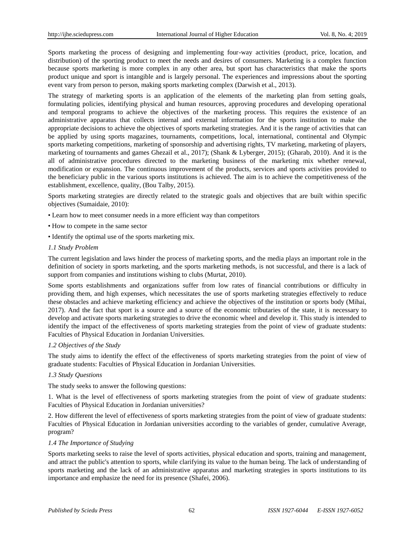Sports marketing the process of designing and implementing four-way activities (product, price, location, and distribution) of the sporting product to meet the needs and desires of consumers. Marketing is a complex function because sports marketing is more complex in any other area, but sport has characteristics that make the sports product unique and sport is intangible and is largely personal. The experiences and impressions about the sporting event vary from person to person, making sports marketing complex (Darwish et al., 2013).

The strategy of marketing sports is an application of the elements of the marketing plan from setting goals, formulating policies, identifying physical and human resources, approving procedures and developing operational and temporal programs to achieve the objectives of the marketing process. This requires the existence of an administrative apparatus that collects internal and external information for the sports institution to make the appropriate decisions to achieve the objectives of sports marketing strategies. And it is the range of activities that can be applied by using sports magazines, tournaments, competitions, local, international, continental and Olympic sports marketing competitions, marketing of sponsorship and advertising rights, TV marketing, marketing of players, marketing of tournaments and games Ghezail et al., 2017); (Shank & Lyberger, 2015); (Gharab, 2010). And it is the all of administrative procedures directed to the marketing business of the marketing mix whether renewal, modification or expansion. The continuous improvement of the products, services and sports activities provided to the beneficiary public in the various sports institutions is achieved. The aim is to achieve the competitiveness of the establishment, excellence, quality, (Bou Talby, 2015).

Sports marketing strategies are directly related to the strategic goals and objectives that are built within specific objectives (Sumaidaie, 2010):

- Learn how to meet consumer needs in a more efficient way than competitors
- How to compete in the same sector
- Identify the optimal use of the sports marketing mix.

## *1.1 Study Problem*

The current legislation and laws hinder the process of marketing sports, and the media plays an important role in the definition of society in sports marketing, and the sports marketing methods, is not successful, and there is a lack of support from companies and institutions wishing to clubs (Murtat, 2010).

Some sports establishments and organizations suffer from low rates of financial contributions or difficulty in providing them, and high expenses, which necessitates the use of sports marketing strategies effectively to reduce these obstacles and achieve marketing efficiency and achieve the objectives of the institution or sports body (Mihai, 2017). And the fact that sport is a source and a source of the economic tributaries of the state, it is necessary to develop and activate sports marketing strategies to drive the economic wheel and develop it. This study is intended to identify the impact of the effectiveness of sports marketing strategies from the point of view of graduate students: Faculties of Physical Education in Jordanian Universities.

## *1.2 Objectives of the Study*

The study aims to identify the effect of the effectiveness of sports marketing strategies from the point of view of graduate students: Faculties of Physical Education in Jordanian Universities.

## *1.3 Study Questions*

The study seeks to answer the following questions:

1. What is the level of effectiveness of sports marketing strategies from the point of view of graduate students: Faculties of Physical Education in Jordanian universities?

2. How different the level of effectiveness of sports marketing strategies from the point of view of graduate students: Faculties of Physical Education in Jordanian universities according to the variables of gender, cumulative Average, program?

## *1.4 The Importance of Studying*

Sports marketing seeks to raise the level of sports activities, physical education and sports, training and management, and attract the public's attention to sports, while clarifying its value to the human being. The lack of understanding of sports marketing and the lack of an administrative apparatus and marketing strategies in sports institutions to its importance and emphasize the need for its presence (Shafei, 2006).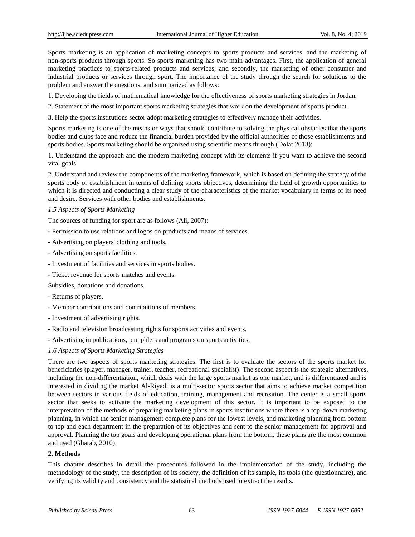Sports marketing is an application of marketing concepts to sports products and services, and the marketing of non-sports products through sports. So sports marketing has two main advantages. First, the application of general marketing practices to sports-related products and services; and secondly, the marketing of other consumer and industrial products or services through sport. The importance of the study through the search for solutions to the problem and answer the questions, and summarized as follows:

1. Developing the fields of mathematical knowledge for the effectiveness of sports marketing strategies in Jordan.

2. Statement of the most important sports marketing strategies that work on the development of sports product.

3. Help the sports institutions sector adopt marketing strategies to effectively manage their activities.

Sports marketing is one of the means or ways that should contribute to solving the physical obstacles that the sports bodies and clubs face and reduce the financial burden provided by the official authorities of those establishments and sports bodies. Sports marketing should be organized using scientific means through (Dolat 2013):

1. Understand the approach and the modern marketing concept with its elements if you want to achieve the second vital goals.

2. Understand and review the components of the marketing framework, which is based on defining the strategy of the sports body or establishment in terms of defining sports objectives, determining the field of growth opportunities to which it is directed and conducting a clear study of the characteristics of the market vocabulary in terms of its need and desire. Services with other bodies and establishments.

## *1.5 Aspects of Sports Marketing*

The sources of funding for sport are as follows (Ali, 2007):

- Permission to use relations and logos on products and means of services.
- Advertising on players' clothing and tools.
- Advertising on sports facilities.
- Investment of facilities and services in sports bodies.
- Ticket revenue for sports matches and events.

Subsidies, donations and donations.

- Returns of players.
- Member contributions and contributions of members.
- Investment of advertising rights.
- Radio and television broadcasting rights for sports activities and events.
- Advertising in publications, pamphlets and programs on sports activities.

#### *1.6 Aspects of Sports Marketing Strategies*

There are two aspects of sports marketing strategies. The first is to evaluate the sectors of the sports market for beneficiaries (player, manager, trainer, teacher, recreational specialist). The second aspect is the strategic alternatives, including the non-differentiation, which deals with the large sports market as one market, and is differentiated and is interested in dividing the market Al-Riyadi is a multi-sector sports sector that aims to achieve market competition between sectors in various fields of education, training, management and recreation. The center is a small sports sector that seeks to activate the marketing development of this sector. It is important to be exposed to the interpretation of the methods of preparing marketing plans in sports institutions where there is a top-down marketing planning, in which the senior management complete plans for the lowest levels, and marketing planning from bottom to top and each department in the preparation of its objectives and sent to the senior management for approval and approval. Planning the top goals and developing operational plans from the bottom, these plans are the most common and used (Gharab, 2010).

## **2. Methods**

This chapter describes in detail the procedures followed in the implementation of the study, including the methodology of the study, the description of its society, the definition of its sample, its tools (the questionnaire), and verifying its validity and consistency and the statistical methods used to extract the results.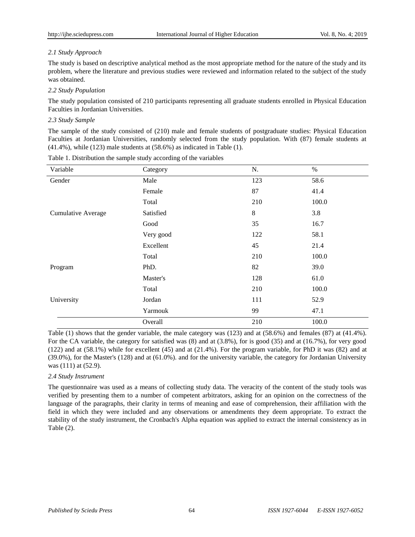# *2.1 Study Approach*

The study is based on descriptive analytical method as the most appropriate method for the nature of the study and its problem, where the literature and previous studies were reviewed and information related to the subject of the study was obtained.

# *2.2 Study Population*

The study population consisted of 210 participants representing all graduate students enrolled in Physical Education Faculties in Jordanian Universities.

# *2.3 Study Sample*

The sample of the study consisted of (210) male and female students of postgraduate studies: Physical Education Faculties at Jordanian Universities, randomly selected from the study population. With (87) female students at  $(41.4\%)$ , while  $(123)$  male students at  $(58.6\%)$  as indicated in Table  $(1)$ .

| Variable                  | Category  | N.    | $\%$  |
|---------------------------|-----------|-------|-------|
| Gender                    | Male      | 123   | 58.6  |
|                           | Female    | 87    | 41.4  |
|                           | Total     | 210   | 100.0 |
| <b>Cumulative Average</b> | Satisfied | $8\,$ | 3.8   |
|                           | Good      | 35    | 16.7  |
|                           | Very good | 122   | 58.1  |
|                           | Excellent | 45    | 21.4  |
|                           | Total     | 210   | 100.0 |
| Program                   | PhD.      | 82    | 39.0  |
|                           | Master's  | 128   | 61.0  |
|                           | Total     | 210   | 100.0 |
| University                | Jordan    | 111   | 52.9  |
|                           | Yarmouk   | 99    | 47.1  |
|                           | Overall   | 210   | 100.0 |

Table 1. Distribution the sample study according of the variables

Table (1) shows that the gender variable, the male category was (123) and at (58.6%) and females (87) at (41.4%). For the CA variable, the category for satisfied was (8) and at (3.8%), for is good (35) and at (16.7%), for very good (122) and at (58.1%) while for excellent (45) and at (21.4%). For the program variable, for PhD it was (82) and at (39.0%), for the Master's (128) and at (61.0%). and for the university variable, the category for Jordanian University was (111) at (52.9).

# *2.4 Study Instrument*

The questionnaire was used as a means of collecting study data. The veracity of the content of the study tools was verified by presenting them to a number of competent arbitrators, asking for an opinion on the correctness of the language of the paragraphs, their clarity in terms of meaning and ease of comprehension, their affiliation with the field in which they were included and any observations or amendments they deem appropriate. To extract the stability of the study instrument, the Cronbach's Alpha equation was applied to extract the internal consistency as in Table (2).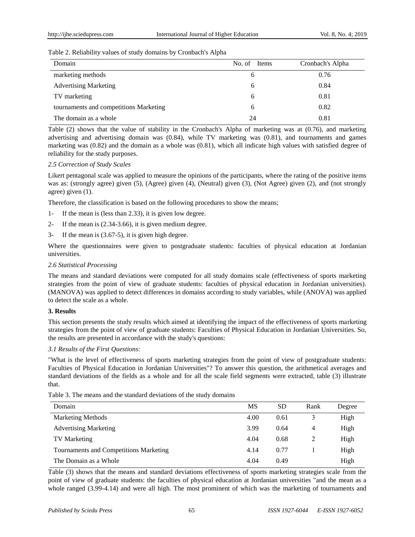# Table 2. Reliability values of study domains by Cronbach's Alpha

| Domain                                 | No. of Items | Cronbach's Alpha |
|----------------------------------------|--------------|------------------|
| marketing methods                      | O            | 0.76             |
| <b>Advertising Marketing</b>           | 6            | 0.84             |
| TV marketing                           | 6            | 0.81             |
| tournaments and competitions Marketing | 6            | 0.82             |
| The domain as a whole                  | 24           | 0.81             |

Table (2) shows that the value of stability in the Cronbach's Alpha of marketing was at (0.76), and marketing advertising and advertising domain was (0.84), while TV marketing was (0.81), and tournaments and games marketing was (0.82) and the domain as a whole was (0.81), which all indicate high values with satisfied degree of reliability for the study purposes.

## *2.5 Correction of Study Scales*

Likert pentagonal scale was applied to measure the opinions of the participants, where the rating of the positive items was as: (strongly agree) given (5), (Agree) given (4), (Neutral) given (3), (Not Agree) given (2), and (not strongly agree) given (1).

Therefore, the classification is based on the following procedures to show the means;

- 1- If the mean is (less than 2.33), it is given low degree.
- 2- If the mean is (2.34-3.66), it is given medium degree.
- 3- If the mean is (3.67-5), it is given high degree.

Where the questionnaires were given to postgraduate students: faculties of physical education at Jordanian universities.

# *2.6 Statistical Processing*

The means and standard deviations were computed for all study domains scale (effectiveness of sports marketing strategies from the point of view of graduate students: faculties of physical education in Jordanian universities). (MANOVA) was applied to detect differences in domains according to study variables, while (ANOVA) was applied to detect the scale as a whole.

# **3. Results**

This section presents the study results which aimed at identifying the impact of the effectiveness of sports marketing strategies from the point of view of graduate students: Faculties of Physical Education in Jordanian Universities. So, the results are presented in accordance with the study's questions:

# *3.1 Results of the First Questions*:

"What is the level of effectiveness of sports marketing strategies from the point of view of postgraduate students: Faculties of Physical Education in Jordanian Universities"? To answer this question, the arithmetical averages and standard deviations of the fields as a whole and for all the scale field segments were extracted, table (3) illustrate that.

|  |  | Table 3. The means and the standard deviations of the study domains |  |
|--|--|---------------------------------------------------------------------|--|
|--|--|---------------------------------------------------------------------|--|

| Domain                                 | <b>MS</b> | <b>SD</b> | Rank | Degree |
|----------------------------------------|-----------|-----------|------|--------|
| <b>Marketing Methods</b>               | 4.00      | 0.61      |      | High   |
| <b>Advertising Marketing</b>           | 3.99      | 0.64      | 4    | High   |
| <b>TV Marketing</b>                    | 4.04      | 0.68      | 2    | High   |
| Tournaments and Competitions Marketing | 4.14      | 0.77      |      | High   |
| The Domain as a Whole                  | 4.04      | 0.49      |      | High   |

Table (3) shows that the means and standard deviations effectiveness of sports marketing strategies scale from the point of view of graduate students: the faculties of physical education at Jordanian universities "and the mean as a whole ranged (3.99-4.14) and were all high. The most prominent of which was the marketing of tournaments and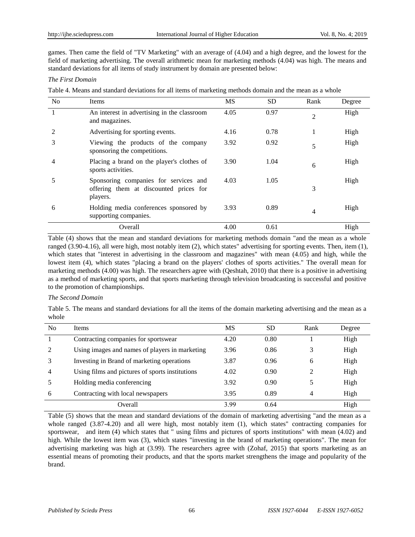games. Then came the field of "TV Marketing" with an average of (4.04) and a high degree, and the lowest for the field of marketing advertising. The overall arithmetic mean for marketing methods (4.04) was high. The means and standard deviations for all items of study instrument by domain are presented below:

## *The First Domain*

Table 4. Means and standard deviations for all items of marketing methods domain and the mean as a whole

| N <sub>0</sub> | Items                                                                                       | MS   | <b>SD</b> | Rank | Degree |
|----------------|---------------------------------------------------------------------------------------------|------|-----------|------|--------|
|                | An interest in advertising in the classroom<br>and magazines.                               | 4.05 | 0.97      | 2    | High   |
|                | Advertising for sporting events.                                                            | 4.16 | 0.78      | 1    | High   |
| 3              | Viewing the products of the company<br>sponsoring the competitions.                         | 3.92 | 0.92      | 5    | High   |
| 4              | Placing a brand on the player's clothes of<br>sports activities.                            | 3.90 | 1.04      | 6    | High   |
| 5              | Sponsoring companies for services and<br>offering them at discounted prices for<br>players. | 4.03 | 1.05      | 3    | High   |
| 6              | Holding media conferences sponsored by<br>supporting companies.                             | 3.93 | 0.89      | 4    | High   |
|                | Overall                                                                                     | 4.00 | 0.61      |      | High   |

Table (4) shows that the mean and standard deviations for marketing methods domain "and the mean as a whole ranged (3.90-4.16), all were high, most notably item (2), which states" advertising for sporting events. Then, item (1), which states that "interest in advertising in the classroom and magazines" with mean (4.05) and high, while the lowest item (4), which states "placing a brand on the players' clothes of sports activities." The overall mean for marketing methods (4.00) was high. The researchers agree with (Qeshtah, 2010) that there is a positive in advertising as a method of marketing sports, and that sports marketing through television broadcasting is successful and positive to the promotion of championships.

# *The Second Domain*

Table 5. The means and standard deviations for all the items of the domain marketing advertising and the mean as a whole

| N <sub>0</sub> | <b>Items</b>                                    | MS   | SD   | Rank | Degree |
|----------------|-------------------------------------------------|------|------|------|--------|
|                | Contracting companies for sportswear            | 4.20 | 0.80 |      | High   |
| 2              | Using images and names of players in marketing  | 3.96 | 0.86 |      | High   |
| 3              | Investing in Brand of marketing operations      | 3.87 | 0.96 | 6    | High   |
| $\overline{4}$ | Using films and pictures of sports institutions | 4.02 | 0.90 |      | High   |
|                | Holding media conferencing                      | 3.92 | 0.90 |      | High   |
| 6              | Contracting with local newspapers               | 3.95 | 0.89 | 4    | High   |
|                | Overall                                         | 3.99 | 0.64 |      | High   |

Table (5) shows that the mean and standard deviations of the domain of marketing advertising "and the mean as a whole ranged  $(3.87-4.20)$  and all were high, most notably item  $(1)$ , which states" contracting companies for sportswear, and item (4) which states that " using films and pictures of sports institutions" with mean (4.02) and high. While the lowest item was (3), which states "investing in the brand of marketing operations". The mean for advertising marketing was high at (3.99). The researchers agree with (Zohaf, 2015) that sports marketing as an essential means of promoting their products, and that the sports market strengthens the image and popularity of the brand.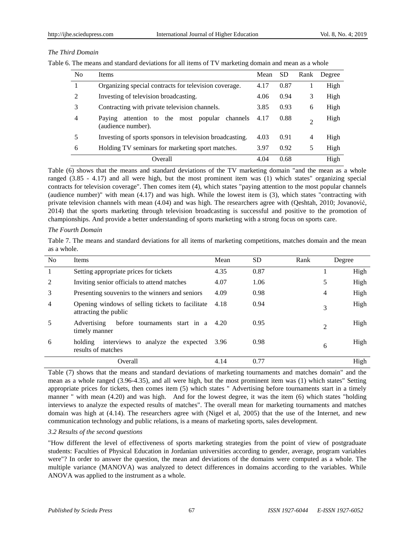# *The Third Domain*

Table 6. The means and standard deviations for all items of TV marketing domain and mean as a whole

| N <sub>0</sub> | <b>Items</b>                                                           | Mean | <b>SD</b> | Rank                        | Degree |
|----------------|------------------------------------------------------------------------|------|-----------|-----------------------------|--------|
|                | Organizing special contracts for television coverage.                  | 4.17 | 0.87      |                             | High   |
| $\mathcal{L}$  | Investing of television broadcasting.                                  | 4.06 | 0.94      | 3                           | High   |
| 3              | Contracting with private television channels.                          | 3.85 | 0.93      | 6                           | High   |
| 4              | attention to the most popular channels<br>Paving<br>(audience number). | 4.17 | 0.88      | $\mathcal{D}_{\mathcal{A}}$ | High   |
| 5              | Investing of sports sponsors in television broadcasting.               | 4.03 | 0.91      | 4                           | High   |
| 6              | Holding TV seminars for marketing sport matches.                       | 3.97 | 0.92      | 5                           | High   |
|                | Overall                                                                | 4.04 | 0.68      |                             | High   |

Table (6) shows that the means and standard deviations of the TV marketing domain "and the mean as a whole ranged (3.85 - 4.17) and all were high, but the most prominent item was (1) which states" organizing special contracts for television coverage". Then comes item (4), which states "paying attention to the most popular channels (audience number)" with mean (4.17) and was high. While the lowest item is (3), which states "contracting with private television channels with mean (4.04) and was high. The researchers agree with (Qeshtah, 2010; Jovanović, 2014) that the sports marketing through television broadcasting is successful and positive to the promotion of championships. And provide a better understanding of sports marketing with a strong focus on sports care.

## *The Fourth Domain*

Table 7. The means and standard deviations for all items of marketing competitions, matches domain and the mean as a whole.

| N <sub>0</sub> | <b>Items</b>                                                              | Mean | <b>SD</b> | Rank           | Degree |
|----------------|---------------------------------------------------------------------------|------|-----------|----------------|--------|
| 1              | Setting appropriate prices for tickets                                    | 4.35 | 0.87      |                | High   |
| 2              | Inviting senior officials to attend matches                               | 4.07 | 1.06      | 5              | High   |
| 3              | Presenting souvenirs to the winners and seniors                           | 4.09 | 0.98      | 4              | High   |
| $\overline{4}$ | Opening windows of selling tickets to facilitate<br>attracting the public | 4.18 | 0.94      | 3              | High   |
| 5              | before tournaments start in a 4.20<br>Advertising<br>timely manner        |      | 0.95      | $\overline{2}$ | High   |
| 6              | interviews to analyze the expected<br>holding<br>results of matches       | 3.96 | 0.98      | 6              | High   |
|                | Overall                                                                   | 4.14 | 0.77      |                | High   |

Table (7) shows that the means and standard deviations of marketing tournaments and matches domain" and the mean as a whole ranged (3.96-4.35), and all were high, but the most prominent item was (1) which states" Setting appropriate prices for tickets, then comes item (5) which states " Advertising before tournaments start in a timely manner " with mean (4.20) and was high. And for the lowest degree, it was the item (6) which states "holding interviews to analyze the expected results of matches". The overall mean for marketing tournaments and matches domain was high at (4.14). The researchers agree with (Nigel et al, 2005) that the use of the Internet, and new communication technology and public relations, is a means of marketing sports, sales development.

## *3.2 Results of the second questions*

"How different the level of effectiveness of sports marketing strategies from the point of view of postgraduate students: Faculties of Physical Education in Jordanian universities according to gender, average, program variables were"? In order to answer the question, the mean and deviations of the domains were computed as a whole. The multiple variance (MANOVA) was analyzed to detect differences in domains according to the variables. While ANOVA was applied to the instrument as a whole.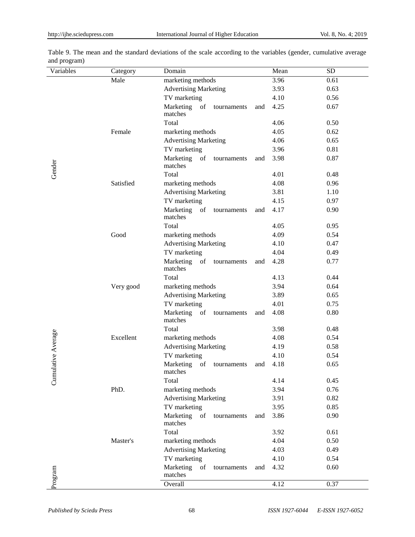| Variables       | Category  | Domain                                    | Mean        | <b>SD</b> |
|-----------------|-----------|-------------------------------------------|-------------|-----------|
|                 | Male      | marketing methods                         | 3.96        | 0.61      |
|                 |           | <b>Advertising Marketing</b>              | 3.93        | 0.63      |
|                 |           | TV marketing                              | 4.10        | 0.56      |
|                 |           | Marketing<br>of<br>tournaments<br>matches | 4.25<br>and | 0.67      |
|                 |           | Total                                     | 4.06        | 0.50      |
|                 | Female    | marketing methods                         | 4.05        | 0.62      |
|                 |           | <b>Advertising Marketing</b>              | 4.06        | 0.65      |
|                 |           | TV marketing                              | 3.96        | 0.81      |
| Gender          |           | Marketing<br>of<br>tournaments<br>matches | 3.98<br>and | 0.87      |
|                 |           | Total                                     | 4.01        | 0.48      |
|                 | Satisfied | marketing methods                         | 4.08        | 0.96      |
|                 |           | <b>Advertising Marketing</b>              | 3.81        | 1.10      |
|                 |           | TV marketing                              | 4.15        | 0.97      |
|                 |           | Marketing<br>of<br>tournaments<br>matches | 4.17<br>and | 0.90      |
|                 |           | Total                                     | 4.05        | 0.95      |
|                 | Good      | marketing methods                         | 4.09        | 0.54      |
|                 |           | <b>Advertising Marketing</b>              | 4.10        | 0.47      |
|                 |           | TV marketing                              | 4.04        | 0.49      |
|                 |           | Marketing<br>of<br>tournaments<br>matches | 4.28<br>and | 0.77      |
|                 |           | Total                                     | 4.13        | 0.44      |
|                 | Very good | marketing methods                         | 3.94        | 0.64      |
|                 |           | <b>Advertising Marketing</b>              | 3.89        | 0.65      |
|                 |           | TV marketing                              | 4.01        | 0.75      |
|                 |           | Marketing of<br>tournaments<br>matches    | 4.08<br>and | 0.80      |
|                 |           | Total                                     | 3.98        | 0.48      |
|                 | Excellent | marketing methods                         | 4.08        | 0.54      |
|                 |           | <b>Advertising Marketing</b>              | 4.19        | 0.58      |
|                 |           | TV marketing                              | 4.10        | 0.54      |
| ulative Average |           | Marketing<br>of<br>tournaments<br>matches | 4.18<br>and | 0.65      |
| Cum             |           | Total                                     | 4.14        | 0.45      |
|                 | PhD.      | marketing methods                         | 3.94        | 0.76      |
|                 |           | <b>Advertising Marketing</b>              | 3.91        | 0.82      |
|                 |           | TV marketing                              | 3.95        | 0.85      |
|                 |           | Marketing<br>of<br>tournaments<br>matches | 3.86<br>and | 0.90      |
|                 |           | Total                                     | 3.92        | 0.61      |
|                 | Master's  | marketing methods                         | 4.04        | 0.50      |
|                 |           | <b>Advertising Marketing</b>              | 4.03        | 0.49      |
|                 |           | TV marketing                              | 4.10        | 0.54      |
| Program         |           | Marketing<br>of<br>tournaments<br>matches | 4.32<br>and | 0.60      |
|                 |           | Overall                                   | 4.12        | 0.37      |

Table 9. The mean and the standard deviations of the scale according to the variables (gender, cumulative average and program)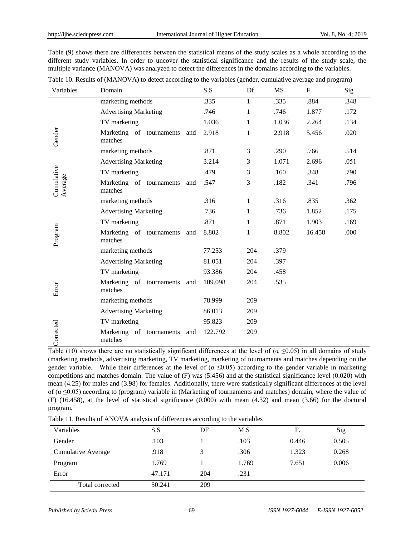Table (9) shows there are differences between the statistical means of the study scales as a whole according to the different study variables. In order to uncover the statistical significance and the results of the study scale, the multiple variance (MANOVA) was analyzed to detect the differences in the domains according to the variables.

| Variables             | Domain                              |     | S.S     | Df           | MS    | $\mathbf{F}$ | Sig  |
|-----------------------|-------------------------------------|-----|---------|--------------|-------|--------------|------|
|                       | marketing methods                   |     | .335    | $\mathbf{1}$ | .335  | .884         | .348 |
|                       | <b>Advertising Marketing</b>        |     | .746    | $\mathbf{1}$ | .746  | 1.877        | .172 |
|                       | TV marketing                        |     | 1.036   | $\mathbf{1}$ | 1.036 | 2.264        | .134 |
| Gender                | Marketing of tournaments<br>matches | and | 2.918   | 1            | 2.918 | 5.456        | .020 |
|                       | marketing methods                   |     | .871    | 3            | .290  | .766         | .514 |
|                       | <b>Advertising Marketing</b>        |     | 3.214   | 3            | 1.071 | 2.696        | .051 |
|                       | TV marketing                        |     | .479    | 3            | .160  | .348         | .790 |
| Cumulative<br>Average | Marketing of tournaments<br>matches | and | .547    | 3            | .182  | .341         | .796 |
|                       | marketing methods                   |     | .316    | 1            | .316  | .835         | .362 |
|                       | <b>Advertising Marketing</b>        |     | .736    | $\mathbf{1}$ | .736  | 1.852        | .175 |
|                       | TV marketing                        |     | .871    | $\mathbf{1}$ | .871  | 1.903        | .169 |
| Program               | Marketing of tournaments<br>matches | and | 8.802   | $\mathbf{1}$ | 8.802 | 16.458       | .000 |
|                       | marketing methods                   |     | 77.253  | 204          | .379  |              |      |
|                       | <b>Advertising Marketing</b>        |     | 81.051  | 204          | .397  |              |      |
|                       | TV marketing                        |     | 93.386  | 204          | .458  |              |      |
| Error                 | Marketing of tournaments<br>matches | and | 109.098 | 204          | .535  |              |      |
|                       | marketing methods                   |     | 78.999  | 209          |       |              |      |
|                       | <b>Advertising Marketing</b>        |     | 86.013  | 209          |       |              |      |
|                       | TV marketing                        |     | 95.823  | 209          |       |              |      |
| orrected              | Marketing of tournaments<br>matches | and | 122.792 | 209          |       |              |      |

Table 10. Results of (MANOVA) to detect according to the variables (gender, cumulative average and program)

Table (10) shows there are no statistically significant differences at the level of  $(\alpha \le 0.05)$  in all domains of study (marketing methods, advertising marketing, TV marketing, marketing of tournaments and matches depending on the gender variable. While their differences at the level of ( $\alpha \le 0.05$ ) according to the gender variable in marketing competitions and matches domain. The value of  $(F)$  was (5.456) and at the statistical significance level (0.020) with mean (4.25) for males and (3.98) for females. Additionally, there were statistically significant differences at the level of ( $\alpha \le 0.05$ ) according to (program) variable in (Marketing of tournaments and matches) domain, where the value of (F) (16.458), at the level of statistical significance (0.000) with mean (4.32) and mean (3.66) for the doctoral program.

Table 11. Results of ANOVA analysis of differences according to the variables

| Variables          | S.S    | DF  | M.S   | F.    | Sig   |
|--------------------|--------|-----|-------|-------|-------|
| Gender             | .103   |     | .103  | 0.446 | 0.505 |
| Cumulative Average | .918   |     | .306  | 1.323 | 0.268 |
| Program            | 1.769  |     | 1.769 | 7.651 | 0.006 |
| Error              | 47.171 | 204 | .231  |       |       |
| Total corrected    | 50.241 | 209 |       |       |       |

ŭ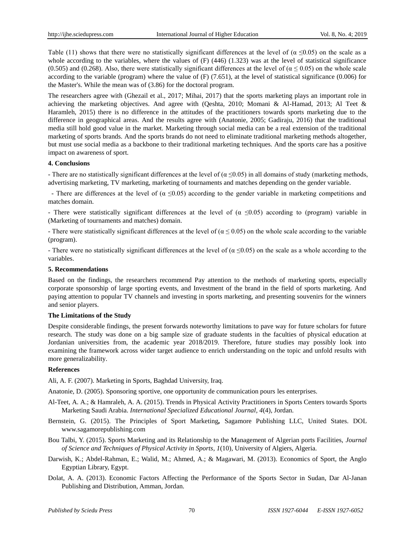Table (11) shows that there were no statistically significant differences at the level of ( $\alpha \le 0.05$ ) on the scale as a whole according to the variables, where the values of  $(F)$  (446) (1.323) was at the level of statistical significance (0.505) and (0.268). Also, there were statistically significant differences at the level of ( $\alpha$  < 0.05) on the whole scale according to the variable (program) where the value of  $(F)$  (7.651), at the level of statistical significance (0.006) for the Master's. While the mean was of (3.86) for the doctoral program.

The researchers agree with (Ghezail et al., 2017; Mihai, 2017) that the sports marketing plays an important role in achieving the marketing objectives. And agree with (Qeshta, 2010; Momani & Al-Hamad, 2013; Al Teet & Haramleh, 2015) there is no difference in the attitudes of the practitioners towards sports marketing due to the difference in geographical areas. And the results agree with (Anatonie, 2005; Gadiraju, 2016) that the traditional media still hold good value in the market. Marketing through social media can be a real extension of the traditional marketing of sports brands. And the sports brands do not need to eliminate traditional marketing methods altogether, but must use social media as a backbone to their traditional marketing techniques. And the sports care has a positive impact on awareness of sport.

## **4. Conclusions**

- There are no statistically significant differences at the level of ( $\alpha \le 0.05$ ) in all domains of study (marketing methods, advertising marketing, TV marketing, marketing of tournaments and matches depending on the gender variable.

- There are differences at the level of ( $\alpha \le 0.05$ ) according to the gender variable in marketing competitions and matches domain.

- There were statistically significant differences at the level of ( $\alpha \le 0.05$ ) according to (program) variable in (Marketing of tournaments and matches) domain.

- There were statistically significant differences at the level of ( $\alpha \le 0.05$ ) on the whole scale according to the variable (program).

- There were no statistically significant differences at the level of ( $\alpha \le 0.05$ ) on the scale as a whole according to the variables.

#### **5. Recommendations**

Based on the findings, the researchers recommend Pay attention to the methods of marketing sports, especially corporate sponsorship of large sporting events, and Investment of the brand in the field of sports marketing. And paying attention to popular TV channels and investing in sports marketing, and presenting souvenirs for the winners and senior players.

## **The Limitations of the Study**

Despite considerable findings, the present forwards noteworthy limitations to pave way for future scholars for future research. The study was done on a big sample size of graduate students in the faculties of physical education at Jordanian universities from, the academic year 2018/2019. Therefore, future studies may possibly look into examining the framework across wider target audience to enrich understanding on the topic and unfold results with more generalizability.

#### **References**

Ali, A. F. (2007). Marketing in Sports, Baghdad University, Iraq.

Anatonie, D. (2005). Sponsoring sportive, one opportunity de communication pours les enterprises.

- Al-Teet, A. A.; & Hamraleh, A. A. (2015). Trends in Physical Activity Practitioners in Sports Centers towards Sports Marketing Saudi Arabia. *International Specialized Educational Journal, 4*(4), Jordan.
- Bernstein, G. (2015). The Principles of Sport Marketing*,* Sagamore Publishing LLC, United States. DOL [www.sagamorepublishing.com](http://www.sagamorepublishing.com/)
- Bou Talbi, Y. (2015). Sports Marketing and its Relationship to the Management of Algerian ports Facilities, *Journal of Science and Techniques of Physical Activity in Sports, 1*(10), University of Algiers, Algeria.
- Darwish, K.; Abdel-Rahman, E.; Walid, M.; Ahmed, A.; & Magawari, M. (2013). Economics of Sport, the Anglo Egyptian Library, Egypt.
- Dolat, A. A. (2013). Economic Factors Affecting the Performance of the Sports Sector in Sudan, Dar Al-Janan Publishing and Distribution, Amman, Jordan.